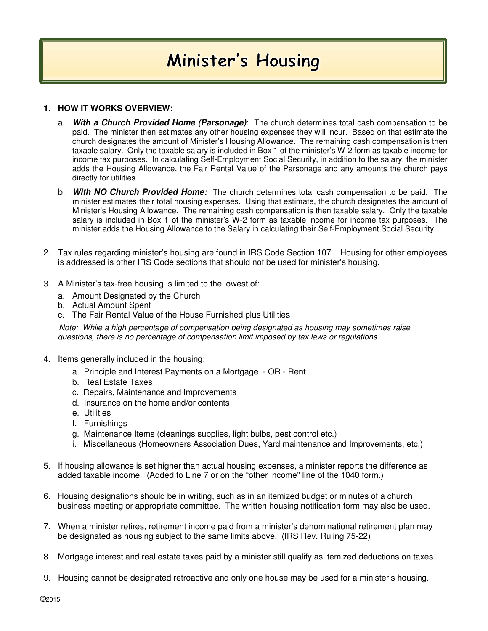## Minister's Housing

## **1. HOW IT WORKS OVERVIEW:**

- a. **With a Church Provided Home (Parsonage)**: The church determines total cash compensation to be paid. The minister then estimates any other housing expenses they will incur. Based on that estimate the church designates the amount of Minister's Housing Allowance. The remaining cash compensation is then taxable salary. Only the taxable salary is included in Box 1 of the minister's W-2 form as taxable income for income tax purposes. In calculating Self-Employment Social Security, in addition to the salary, the minister adds the Housing Allowance, the Fair Rental Value of the Parsonage and any amounts the church pays directly for utilities.
- b. **With NO Church Provided Home:** The church determines total cash compensation to be paid. The minister estimates their total housing expenses. Using that estimate, the church designates the amount of Minister's Housing Allowance. The remaining cash compensation is then taxable salary. Only the taxable salary is included in Box 1 of the minister's W-2 form as taxable income for income tax purposes. The minister adds the Housing Allowance to the Salary in calculating their Self-Employment Social Security.
- 2. Tax rules regarding minister's housing are found in **IRS Code Section 107.** Housing for other employees is addressed is other IRS Code sections that should not be used for minister's housing.
- 3. A Minister's tax-free housing is limited to the lowest of:
	- a. Amount Designated by the Church
	- b. Actual Amount Spent
	- c. The Fair Rental Value of the House Furnished plus Utilities

 Note: While a high percentage of compensation being designated as housing may sometimes raise questions, there is no percentage of compensation limit imposed by tax laws or regulations.

- 4. Items generally included in the housing:
	- a. Principle and Interest Payments on a Mortgage OR Rent
	- b. Real Estate Taxes
	- c. Repairs, Maintenance and Improvements
	- d. Insurance on the home and/or contents
	- e. Utilities
	- f. Furnishings
	- g. Maintenance Items (cleanings supplies, light bulbs, pest control etc.)
	- i. Miscellaneous (Homeowners Association Dues, Yard maintenance and Improvements, etc.)
- 5. If housing allowance is set higher than actual housing expenses, a minister reports the difference as added taxable income. (Added to Line 7 or on the "other income" line of the 1040 form.)
- 6. Housing designations should be in writing, such as in an itemized budget or minutes of a church business meeting or appropriate committee. The written housing notification form may also be used.
- 7. When a minister retires, retirement income paid from a minister's denominational retirement plan may be designated as housing subject to the same limits above. (IRS Rev. Ruling 75-22)
- 8. Mortgage interest and real estate taxes paid by a minister still qualify as itemized deductions on taxes.
- 9. Housing cannot be designated retroactive and only one house may be used for a minister's housing.